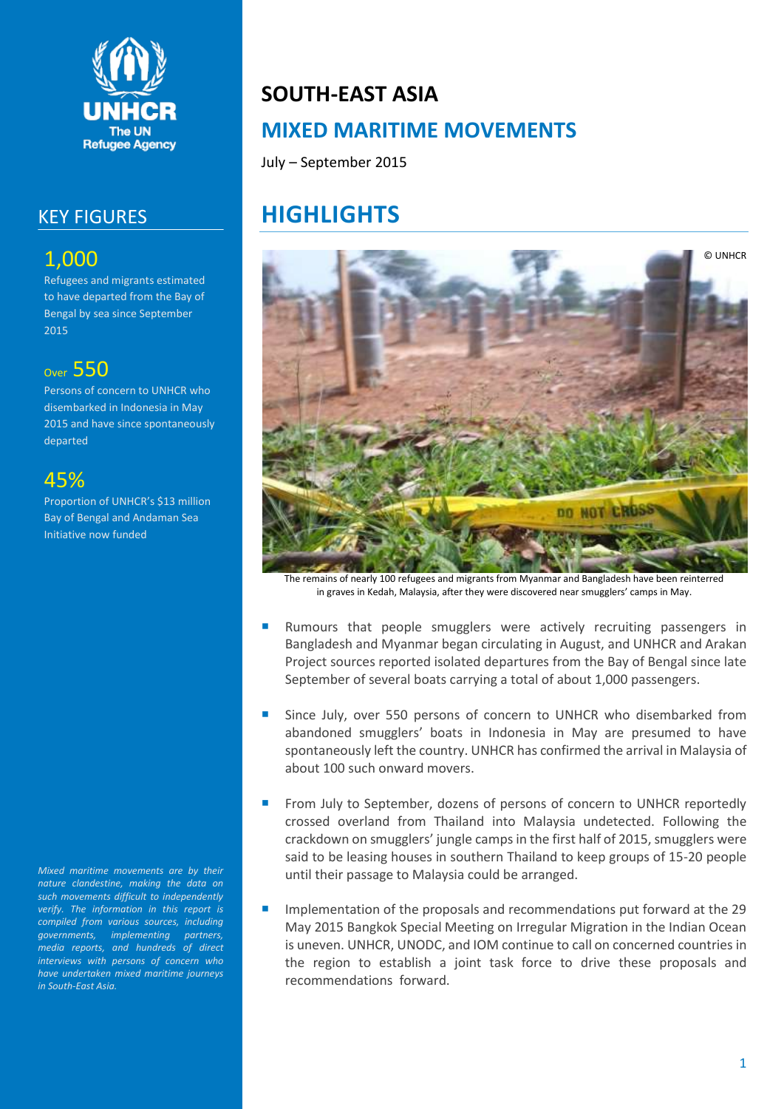

### KEY FIGURES

## 1,000

Refugees and migrants estimated to have departed from the Bay of Bengal by sea since September 2015

### Over 550

Persons of concern to UNHCR who disembarked in Indonesia in May 2015 and have since spontaneously departed

### 45%

Proportion of UNHCR's \$13 million Bay of Bengal and Andaman Sea Initiative now funded

*Mixed maritime movements are by their nature clandestine, making the data on such movements difficult to independently verify. The information in this report is compiled from various sources, including governments, implementing partners, media reports, and hundreds of direct interviews with persons of concern who have undertaken mixed maritime journeys in South-East Asia.*

# **SOUTH-EAST ASIA MIXED MARITIME MOVEMENTS**

July – September 2015

# **HIGHLIGHTS**



The remains of nearly 100 refugees and migrants from Myanmar and Bangladesh have been reinterred in graves in Kedah, Malaysia, after they were discovered near smugglers' camps in May.

- Rumours that people smugglers were actively recruiting passengers in Bangladesh and Myanmar began circulating in August, and UNHCR and Arakan Project sources reported isolated departures from the Bay of Bengal since late September of several boats carrying a total of about 1,000 passengers.
- Since July, over 550 persons of concern to UNHCR who disembarked from abandoned smugglers' boats in Indonesia in May are presumed to have spontaneously left the country. UNHCR has confirmed the arrival in Malaysia of about 100 such onward movers.
- From July to September, dozens of persons of concern to UNHCR reportedly crossed overland from Thailand into Malaysia undetected. Following the crackdown on smugglers' jungle camps in the first half of 2015, smugglers were said to be leasing houses in southern Thailand to keep groups of 15-20 people until their passage to Malaysia could be arranged.
- Implementation of the proposals and recommendations put forward at the 29 May 2015 Bangkok Special Meeting on Irregular Migration in the Indian Ocean is uneven. UNHCR, UNODC, and IOM continue to call on concerned countries in the region to establish a joint task force to drive these proposals and recommendations forward.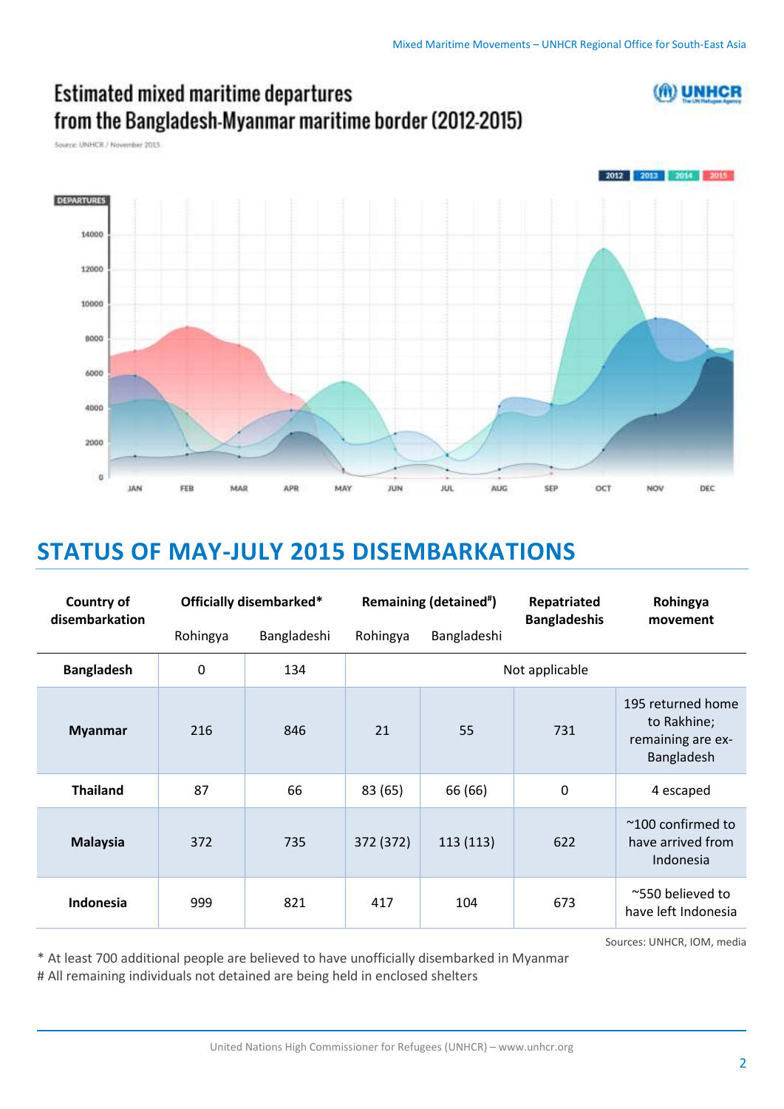(ft) UNHCR



## **Estimated mixed maritime departures** from the Bangladesh-Myanmar maritime border (2012-2015)

Source: UNHCR / November 2013

# **STATUS OF MAY-JULY 2015 DISEMBARKATIONS**

| <b>Country of</b><br>disembarkation | Officially disembarked* |             | Remaining (detained <sup>#</sup> ) |             | Repatriated<br><b>Bangladeshis</b> | Rohingya<br>movement                                                |
|-------------------------------------|-------------------------|-------------|------------------------------------|-------------|------------------------------------|---------------------------------------------------------------------|
|                                     | Rohingya                | Bangladeshi | Rohingya                           | Bangladeshi |                                    |                                                                     |
| <b>Bangladesh</b>                   | $\mathbf 0$             | 134         | Not applicable                     |             |                                    |                                                                     |
| <b>Myanmar</b>                      | 216                     | 846         | 21                                 | 55          | 731                                | 195 returned home<br>to Rakhine;<br>remaining are ex-<br>Bangladesh |
| <b>Thailand</b>                     | 87                      | 66          | 83 (65)                            | 66 (66)     | $\mathbf 0$                        | 4 escaped                                                           |
| <b>Malaysia</b>                     | 372                     | 735         | 372 (372)                          | 113 (113)   | 622                                | $~\sim$ 100 confirmed to<br>have arrived from<br>Indonesia          |
| Indonesia                           | 999                     | 821         | 417                                | 104         | 673                                | ~550 believed to<br>have left Indonesia                             |

\* At least 700 additional people are believed to have unofficially disembarked in Myanmar # All remaining individuals not detained are being held in enclosed shelters

Sources: UNHCR, IOM, media